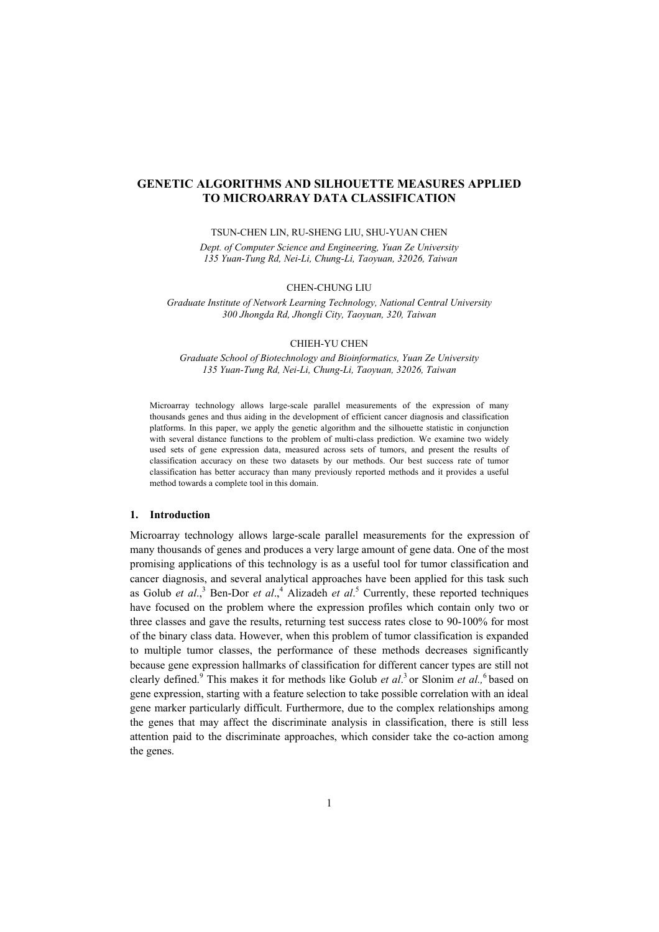# **GENETIC ALGORITHMS AND SILHOUETTE MEASURES APPLIED TO MICROARRAY DATA CLASSIFICATION**

TSUN-CHEN LIN, RU-SHENG LIU, SHU-YUAN CHEN

*Dept. of Computer Science and Engineering, Yuan Ze University 135 Yuan-Tung Rd, Nei-Li, Chung-Li, Taoyuan, 32026, Taiwan* 

## CHEN-CHUNG LIU

*Graduate Institute of Network Learning Technology, National Central University 300 Jhongda Rd, Jhongli City, Taoyuan, 320, Taiwan*

## CHIEH-YU CHEN

*Graduate School of Biotechnology and Bioinformatics, Yuan Ze University 135 Yuan-Tung Rd, Nei-Li, Chung-Li, Taoyuan, 32026, Taiwan*

Microarray technology allows large-scale parallel measurements of the expression of many thousands genes and thus aiding in the development of efficient cancer diagnosis and classification platforms. In this paper, we apply the genetic algorithm and the silhouette statistic in conjunction with several distance functions to the problem of multi-class prediction. We examine two widely used sets of gene expression data, measured across sets of tumors, and present the results of classification accuracy on these two datasets by our methods. Our best success rate of tumor classification has better accuracy than many previously reported methods and it provides a useful method towards a complete tool in this domain.

## **1. Introduction**

Microarray technology allows large-scale parallel measurements for the expression of many thousands of genes and produces a very large amount of gene data. One of the most promising applications of this technology is as a useful tool for tumor classification and cancer diagnosis, and several analytical approaches have been applied for this task such as Golub *et al.*,<sup>3</sup> Ben-Dor *et al.*,<sup>4</sup> Alizadeh *et al.*<sup>5</sup> Currently, these reported techniques have focused on the problem where the expression profiles which contain only two or three classes and gave the results, returning test success rates close to 90-100% for most of the binary class data. However, when this problem of tumor classification is expanded to multiple tumor classes, the performance of these methods decreases significantly because gene expression hallmarks of classification for different cancer types are still not clearly defined.<sup>9</sup> This makes it for methods like Golub *et al*.<sup>3</sup> or Slonim *et al.*,<sup>6</sup> based on gene expression, starting with a feature selection to take possible correlation with an ideal gene marker particularly difficult. Furthermore, due to the complex relationships among the genes that may affect the discriminate analysis in classification, there is still less attention paid to the discriminate approaches, which consider take the co-action among the genes.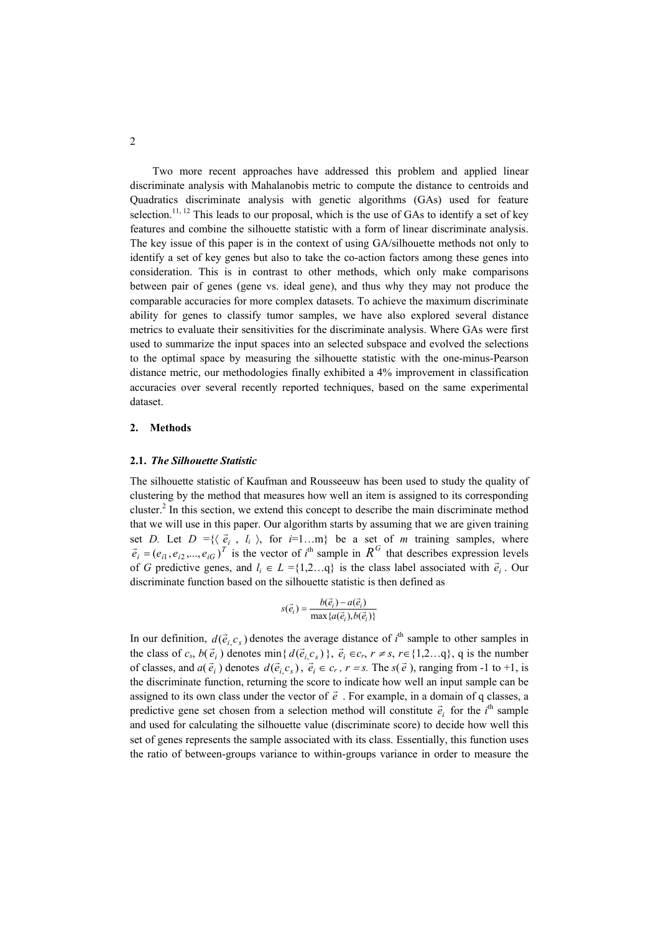Two more recent approaches have addressed this problem and applied linear discriminate analysis with Mahalanobis metric to compute the distance to centroids and Quadratics discriminate analysis with genetic algorithms (GAs) used for feature selection.<sup>11, 12</sup> This leads to our proposal, which is the use of GAs to identify a set of key features and combine the silhouette statistic with a form of linear discriminate analysis. The key issue of this paper is in the context of using GA/silhouette methods not only to identify a set of key genes but also to take the co-action factors among these genes into consideration. This is in contrast to other methods, which only make comparisons between pair of genes (gene vs. ideal gene), and thus why they may not produce the comparable accuracies for more complex datasets. To achieve the maximum discriminate ability for genes to classify tumor samples, we have also explored several distance metrics to evaluate their sensitivities for the discriminate analysis. Where GAs were first used to summarize the input spaces into an selected subspace and evolved the selections to the optimal space by measuring the silhouette statistic with the one-minus-Pearson distance metric, our methodologies finally exhibited a 4% improvement in classification accuracies over several recently reported techniques, based on the same experimental dataset.

### **2. Methods**

#### **2.1.** *The Silhouette Statistic*

The silhouette statistic of Kaufman and Rousseeuw has been used to study the quality of clustering by the method that measures how well an item is assigned to its corresponding cluster.2 In this section, we extend this concept to describe the main discriminate method that we will use in this paper. Our algorithm starts by assuming that we are given training set *D*. Let  $D = \{ \langle \vec{e}_i, l_i \rangle, \text{ for } i=1...m \}$  be a set of *m* training samples, where  $\vec{e}_i = (e_{i1}, e_{i2}, ..., e_{iG})^T$  is the vector of *i*<sup>th</sup> sample in  $R^G$  that describes expression levels of *G* predictive genes, and  $l_i \in L = \{1,2...q\}$  is the class label associated with  $\vec{e}_i$ . Our discriminate function based on the silhouette statistic is then defined as

$$
s(\vec{e}_i) = \frac{b(\vec{e}_i) - a(\vec{e}_i)}{\max\{a(\vec{e}_i), b(\vec{e}_i)\}}
$$

In our definition,  $d(\vec{e}_i, c_s)$  denotes the average distance of  $i^{\text{th}}$  sample to other samples in the class of  $c_s$ ,  $b(\vec{e}_i)$  denotes min{  $d(\vec{e}_i, c_s)$ },  $\vec{e}_i \in c_r$ ,  $r \neq s$ ,  $r \in \{1,2...q\}$ , q is the number of classes, and  $a(\vec{e}_i)$  denotes  $d(\vec{e}_i, c_s)$ ,  $\vec{e}_i \in c_r$ ,  $r = s$ . The  $s(\vec{e})$ , ranging from -1 to +1, is the discriminate function, returning the score to indicate how well an input sample can be assigned to its own class under the vector of  $\vec{e}$ . For example, in a domain of q classes, a predictive gene set chosen from a selection method will constitute  $\vec{e}_i$  for the *i*<sup>th</sup> sample and used for calculating the silhouette value (discriminate score) to decide how well this set of genes represents the sample associated with its class. Essentially, this function uses the ratio of between-groups variance to within-groups variance in order to measure the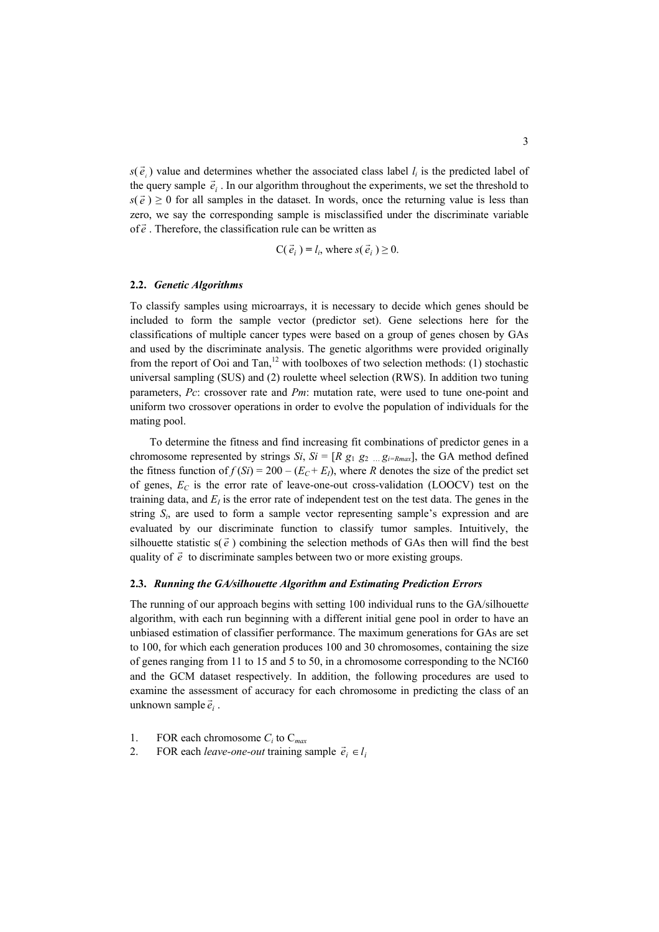$s(\vec{e}_i)$  value and determines whether the associated class label  $l_i$  is the predicted label of the query sample  $\vec{e}_i$ . In our algorithm throughout the experiments, we set the threshold to  $s(\vec{e}) \ge 0$  for all samples in the dataset. In words, once the returning value is less than zero, we say the corresponding sample is misclassified under the discriminate variable of  $\vec{e}$ . Therefore, the classification rule can be written as

$$
C(\vec{e}_i) = l_i
$$
, where  $s(\vec{e}_i) \ge 0$ .

## **2.2.** *Genetic Algorithms*

To classify samples using microarrays, it is necessary to decide which genes should be included to form the sample vector (predictor set). Gene selections here for the classifications of multiple cancer types were based on a group of genes chosen by GAs and used by the discriminate analysis. The genetic algorithms were provided originally from the report of Ooi and Tan,<sup>12</sup> with toolboxes of two selection methods: (1) stochastic universal sampling (SUS) and (2) roulette wheel selection (RWS). In addition two tuning parameters, *Pc*: crossover rate and *Pm*: mutation rate, were used to tune one-point and uniform two crossover operations in order to evolve the population of individuals for the mating pool.

To determine the fitness and find increasing fit combinations of predictor genes in a chromosome represented by strings *Si*,  $Si = [R g_1 g_2 ... g_{i=R max}]$ , the GA method defined the fitness function of  $f(S_i) = 200 - (E_C + E_i)$ , where *R* denotes the size of the predict set of genes,  $E_C$  is the error rate of leave-one-out cross-validation (LOOCV) test on the training data, and  $E<sub>I</sub>$  is the error rate of independent test on the test data. The genes in the string *Si*, are used to form a sample vector representing sample's expression and are evaluated by our discriminate function to classify tumor samples. Intuitively, the silhouette statistic  $s(\vec{e})$  combining the selection methods of GAs then will find the best quality of  $\vec{e}$  to discriminate samples between two or more existing groups.

### **2.3.** *Running the GA/silhouette Algorithm and Estimating Prediction Errors*

 $\overline{e}_i$  . The running of our approach begins with setting 100 individual runs to the GA/silhouett*e* algorithm, with each run beginning with a different initial gene pool in order to have an unbiased estimation of classifier performance. The maximum generations for GAs are set to 100, for which each generation produces 100 and 30 chromosomes, containing the size of genes ranging from 11 to 15 and 5 to 50, in a chromosome corresponding to the NCI60 and the GCM dataset respectively. In addition, the following procedures are used to examine the assessment of accuracy for each chromosome in predicting the class of an

- 1. FOR each chromosome *Ci* to C*max*
- 2. FOR each *leave-one-out* training sample  $\vec{e}_i \in l_i$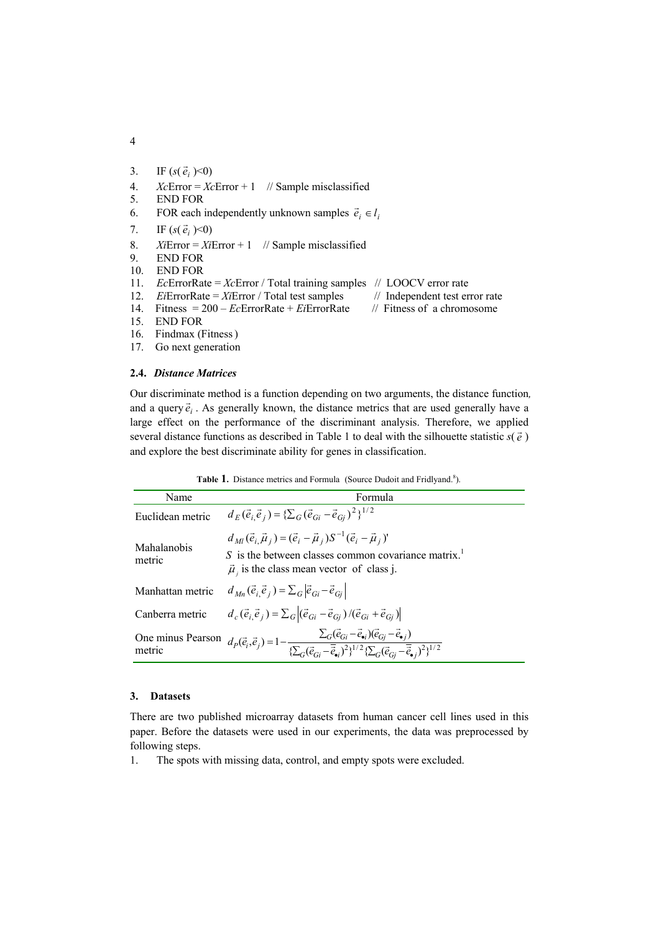- 3. IF  $(s(\vec{e}_i) < 0)$
- 4. *Xc*Error = *Xc*Error + 1 // Sample misclassified
- 5. END FOR
- 6. FOR each independently unknown samples  $\vec{e}_i \in l_i$
- 7. IF  $(s(\vec{e}_i) < 0)$
- 8. *Xi*Error = *Xi*Error + 1 // Sample misclassified
- 9. END FOR
- 10. END FOR
- 11. *Ec*ErrorRate = *Xc*Error / Total training samples // LOOCV error rate
- 12. *Ei*ErrorRate = *Xi*Error / Total test samples // Independent test error rate
- 14. Fitness = 200 *Ec*ErrorRate + *Ei*ErrorRate // Fitness of a chromosome
- 15. END FOR
- 16. Findmax (Fitness)
- 17. Go next generation

## **2.4.** *Distance Matrices*

Our discriminate method is a function depending on two arguments, the distance function*,*  and a query  $\vec{e}_i$ . As generally known, the distance metrics that are used generally have a large effect on the performance of the discriminant analysis. Therefore, we applied several distance functions as described in Table 1 to deal with the silhouette statistic  $s(\vec{e})$ and explore the best discriminate ability for genes in classification.

Table 1. Distance metrics and Formula (Source Dudoit and Fridlyand.<sup>8</sup>).

| Name                  | Formula                                                                                                                                                                                                                                                                                         |
|-----------------------|-------------------------------------------------------------------------------------------------------------------------------------------------------------------------------------------------------------------------------------------------------------------------------------------------|
| Euclidean metric      | $d_E(\vec{e}_i \vec{e}_j) = {\sum_G (\vec{e}_{Gi} - \vec{e}_{Gi})^2}^{1/2}$                                                                                                                                                                                                                     |
| Mahalanobis<br>metric | $d_{MI}(\vec{e}_i \vec{\mu}_i) = (\vec{e}_i - \vec{\mu}_i)S^{-1}(\vec{e}_i - \vec{\mu}_i)$<br>S is the between classes common covariance matrix. <sup>1</sup><br>$\vec{\mu}$ , is the class mean vector of class j.                                                                             |
| Manhattan metric      | $d_{Mn}(\vec{e}_i \vec{e}_j) = \sum_{G}  \vec{e}_{Gi} - \vec{e}_{Gi} $                                                                                                                                                                                                                          |
| Canberra metric       | $d_c(\vec{e}_i, \vec{e}_j) = \sum_{G}  (\vec{e}_{Gi} - \vec{e}_{Gi})/(\vec{e}_{Gi} + \vec{e}_{Gi}) $                                                                                                                                                                                            |
|                       | One minus Pearson $d_P(\vec{e}_i, \vec{e}_j) = 1 - \frac{\sum_G (\vec{e}_{Gi} - \vec{e}_{\bullet i}) (\vec{e}_{Gj} - \vec{e}_{\bullet j})}{\sum_G (\vec{e}_{Gi} - \vec{e}_{\bullet j})^2 \sum_G (\vec{e}_{Gi} - \vec{e}_{\bullet j})^2 \sum_i (\vec{e}_{Gi} - \vec{e}_{\bullet j})^2 \}^{1/2}}$ |

## **3. Datasets**

There are two published microarray datasets from human cancer cell lines used in this paper. Before the datasets were used in our experiments, the data was preprocessed by following steps.

1. The spots with missing data, control, and empty spots were excluded.

4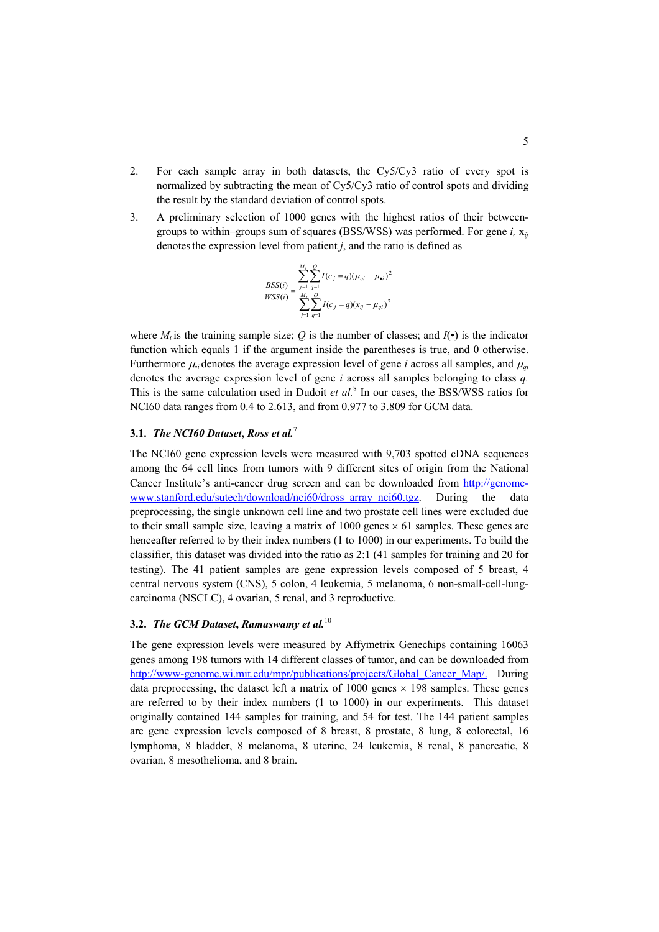- 2. For each sample array in both datasets, the Cy5/Cy3 ratio of every spot is normalized by subtracting the mean of Cy5/Cy3 ratio of control spots and dividing the result by the standard deviation of control spots.
- 3. A preliminary selection of 1000 genes with the highest ratios of their betweengroups to within–groups sum of squares (BSS/WSS) was performed. For gene *i,* x*ij*  denotes the expression level from patient  $j$ , and the ratio is defined as

$$
\frac{BSS(i)}{WSS(i)} = \frac{\sum_{j=1}^{M_t} \sum_{q=1}^{Q} I(c_j = q)(\mu_{qi} - \mu_{\bullet i})^2}{\sum_{j=1}^{M_t} \sum_{q=1}^{Q} I(c_j = q)(x_{ij} - \mu_{qi})^2}
$$

where *M<sub>t</sub>* is the training sample size; *O* is the number of classes; and  $I(\cdot)$  is the indicator function which equals 1 if the argument inside the parentheses is true, and 0 otherwise. Furthermore  $\mu_i$ , denotes the average expression level of gene *i* across all samples, and  $\mu_{\mu}$ denotes the average expression level of gene *i* across all samples belonging to class *q.* This is the same calculation used in Dudoit *et al.*<sup>8</sup> In our cases, the BSS/WSS ratios for NCI60 data ranges from 0.4 to 2.613, and from 0.977 to 3.809 for GCM data.

# **3.1.** *The NCI60 Dataset***,** *Ross et al.*<sup>7</sup>

The NCI60 gene expression levels were measured with 9,703 spotted cDNA sequences among the 64 cell lines from tumors with 9 different sites of origin from the National Cancer Institute's anti-cancer drug screen and can be downloaded from [http://genome](http://genome-www.stanford.edu/sutech/download/nci60/dross_array_nci60.tgz)[www.stanford.edu/sutech/download/nci60/dross\\_array\\_nci60.tgz](http://genome-www.stanford.edu/sutech/download/nci60/dross_array_nci60.tgz). During the data preprocessing, the single unknown cell line and two prostate cell lines were excluded due to their small sample size, leaving a matrix of 1000 genes  $\times$  61 samples. These genes are henceafter referred to by their index numbers (1 to 1000) in our experiments. To build the classifier, this dataset was divided into the ratio as 2:1 (41 samples for training and 20 for testing). The 41 patient samples are gene expression levels composed of 5 breast, 4 central nervous system (CNS), 5 colon, 4 leukemia, 5 melanoma, 6 non-small-cell-lungcarcinoma (NSCLC), 4 ovarian, 5 renal, and 3 reproductive.

# **3.2.** *The GCM Dataset***,** *Ramaswamy et al.*<sup>10</sup>

The gene expression levels were measured by Affymetrix Genechips containing 16063 genes among 198 tumors with 14 different classes of tumor, and can be downloaded from [http://www-genome.wi.mit.edu/mpr/publications/projects/Global\\_Cancer\\_Map/.](http://www-genome.wi.mit.edu/mpr/publications/projects/Global_Map/) During data preprocessing, the dataset left a matrix of  $1000$  genes  $\times$  198 samples. These genes are referred to by their index numbers (1 to 1000) in our experiments. This dataset originally contained 144 samples for training, and 54 for test. The 144 patient samples are gene expression levels composed of 8 breast, 8 prostate, 8 lung, 8 colorectal, 16 lymphoma, 8 bladder, 8 melanoma, 8 uterine, 24 leukemia, 8 renal, 8 pancreatic, 8 ovarian, 8 mesothelioma, and 8 brain.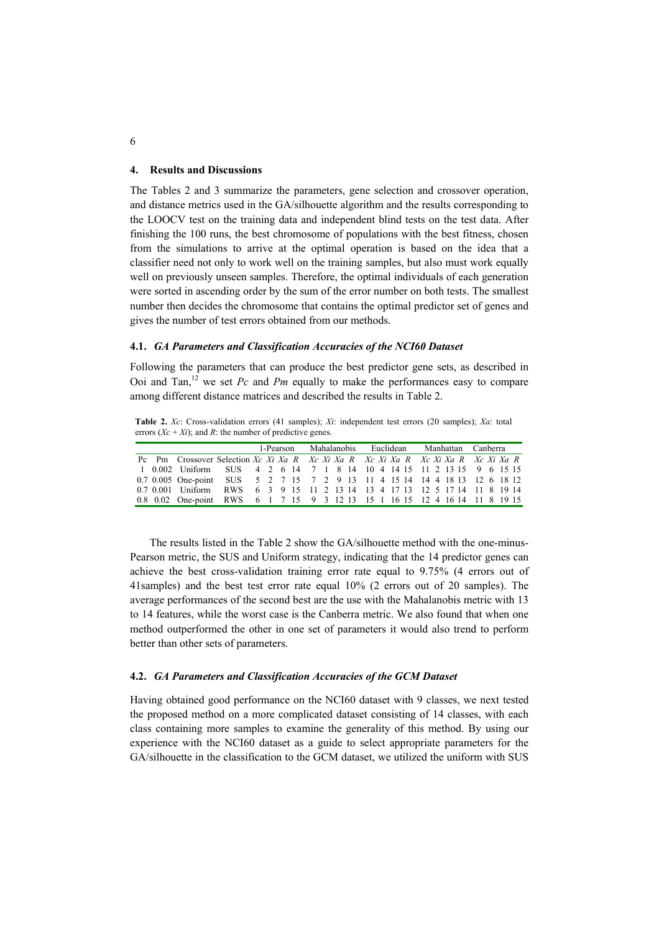#### **4. Results and Discussions**

The Tables 2 and 3 summarize the parameters, gene selection and crossover operation, and distance metrics used in the GA/silhouette algorithm and the results corresponding to the LOOCV test on the training data and independent blind tests on the test data. After finishing the 100 runs, the best chromosome of populations with the best fitness, chosen from the simulations to arrive at the optimal operation is based on the idea that a classifier need not only to work well on the training samples, but also must work equally well on previously unseen samples. Therefore, the optimal individuals of each generation were sorted in ascending order by the sum of the error number on both tests. The smallest number then decides the chromosome that contains the optimal predictor set of genes and gives the number of test errors obtained from our methods.

### **4.1.** *GA Parameters and Classification Accuracies of the NCI60 Dataset*

Following the parameters that can produce the best predictor gene sets, as described in Ooi and Tan,<sup>12</sup> we set  $Pc$  and  $Pm$  equally to make the performances easy to compare among different distance matrices and described the results in Table 2.

**Table 2.** *Xc*: Cross-validation errors (41 samples); *Xi*: independent test errors (20 samples); *Xa*: total errors  $(Xc + Xi)$ ; and *R*: the number of predictive genes.

|  |                                                                                             |  |  |  |  |  | 1-Pearson Mahalanobis Euclidean Manhattan Canberra |  |  |  |  |  |
|--|---------------------------------------------------------------------------------------------|--|--|--|--|--|----------------------------------------------------|--|--|--|--|--|
|  | Pc Pm Crossover Selection Xc Xi Xa R Xc Xi Xa R Xc Xi Xa R Xc Xi Xa R Xc Xi Xa R Xc Xi Xa R |  |  |  |  |  |                                                    |  |  |  |  |  |
|  | 1 0.002 Uniform SUS 4 2 6 14 7 1 8 14 10 4 14 15 11 2 13 15 9 6 15 15                       |  |  |  |  |  |                                                    |  |  |  |  |  |
|  | 0.7 0.005 One-point SUS 5 2 7 15 7 2 9 13 11 4 15 14 14 4 18 13 12 6 18 12                  |  |  |  |  |  |                                                    |  |  |  |  |  |
|  | 0.7 0.001 Uniform RWS 6 3 9 15 11 2 13 14 13 4 17 13 12 5 17 14 11 8 19 14                  |  |  |  |  |  |                                                    |  |  |  |  |  |
|  | 0.8 0.02 One-point RWS 6 1 7 15 9 3 12 13 15 1 16 15 12 4 16 14 11 8 19 15                  |  |  |  |  |  |                                                    |  |  |  |  |  |

The results listed in the Table 2 show the GA/silhouette method with the one-minus-Pearson metric, the SUS and Uniform strategy, indicating that the 14 predictor genes can achieve the best cross-validation training error rate equal to 9.75% (4 errors out of 41samples) and the best test error rate equal 10% (2 errors out of 20 samples). The average performances of the second best are the use with the Mahalanobis metric with 13 to 14 features, while the worst case is the Canberra metric. We also found that when one method outperformed the other in one set of parameters it would also trend to perform better than other sets of parameters.

## **4.2.** *GA Parameters and Classification Accuracies of the GCM Dataset*

Having obtained good performance on the NCI60 dataset with 9 classes, we next tested the proposed method on a more complicated dataset consisting of 14 classes, with each class containing more samples to examine the generality of this method. By using our experience with the NCI60 dataset as a guide to select appropriate parameters for the GA/silhouette in the classification to the GCM dataset, we utilized the uniform with SUS

6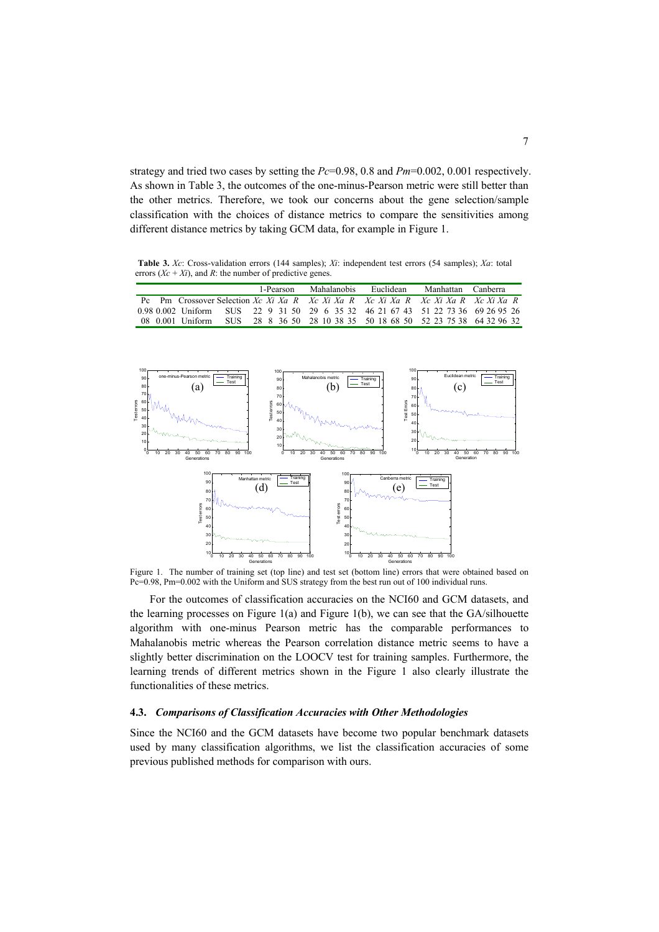strategy and tried two cases by setting the *Pc*=0.98, 0.8 and *Pm*=0.002, 0.001 respectively. As shown in Table 3, the outcomes of the one-minus-Pearson metric were still better than the other metrics. Therefore, we took our concerns about the gene selection/sample classification with the choices of distance metrics to compare the sensitivities among different distance metrics by taking GCM data, for example in Figure 1.

**Table 3.** *Xc*: Cross-validation errors (144 samples); *Xi*: independent test errors (54 samples); *Xa*: total errors  $(Xc + Xi)$ , and *R*: the number of predictive genes.

|  |                  |  | 1-Pearson |  | Mahalanobis | Euclidean |  | Manhattan Canberra                                                               |  |
|--|------------------|--|-----------|--|-------------|-----------|--|----------------------------------------------------------------------------------|--|
|  |                  |  |           |  |             |           |  | Pc Pm Crossover Selection Xc Xi Xa R Xc Xi Xa R Xc Xi Xa R Xc Xi Xa R Xc Xi Xa R |  |
|  |                  |  |           |  |             |           |  | 0.98 0.002 Uniform SUS 22 9 31 50 29 6 35 32 46 21 67 43 51 22 73 36 69 26 95 26 |  |
|  | 08 0.001 Uniform |  |           |  |             |           |  | SUS 28 8 36 50 28 10 38 35 50 18 68 50 52 23 75 38 64 32 96 32                   |  |



Figure 1. The number of training set (top line) and test set (bottom line) errors that were obtained based on Pc=0.98, Pm=0.002 with the Uniform and SUS strategy from the best run out of 100 individual runs.

For the outcomes of classification accuracies on the NCI60 and GCM datasets, and the learning processes on Figure 1(a) and Figure 1(b), we can see that the GA/silhouette algorithm with one-minus Pearson metric has the comparable performances to Mahalanobis metric whereas the Pearson correlation distance metric seems to have a slightly better discrimination on the LOOCV test for training samples. Furthermore, the learning trends of different metrics shown in the Figure 1 also clearly illustrate the functionalities of these metrics.

## **4.3.** *Comparisons of Classification Accuracies with Other Methodologies*

Since the NCI60 and the GCM datasets have become two popular benchmark datasets used by many classification algorithms, we list the classification accuracies of some previous published methods for comparison with ours.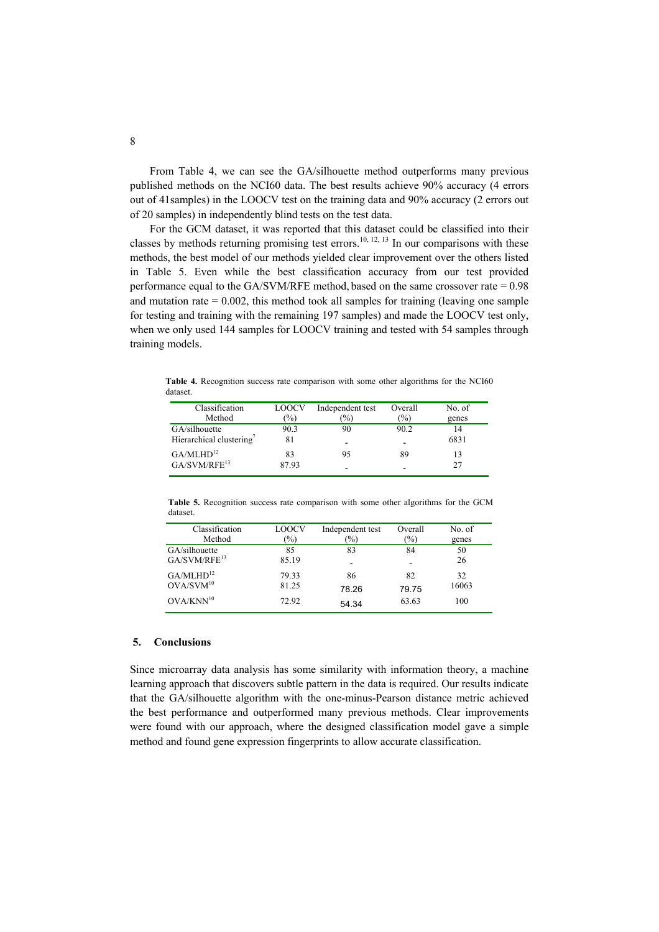From Table 4, we can see the GA/silhouette method outperforms many previous published methods on the NCI60 data. The best results achieve 90% accuracy (4 errors out of 41samples) in the LOOCV test on the training data and 90% accuracy (2 errors out of 20 samples) in independently blind tests on the test data.

For the GCM dataset, it was reported that this dataset could be classified into their classes by methods returning promising test errors.<sup>10, 12, 13</sup> In our comparisons with these methods, the best model of our methods yielded clear improvement over the others listed in Table 5. Even while the best classification accuracy from our test provided performance equal to the GA/SVM/RFE method, based on the same crossover rate = 0.98 and mutation rate  $= 0.002$ , this method took all samples for training (leaving one sample for testing and training with the remaining 197 samples) and made the LOOCV test only, when we only used 144 samples for LOOCV training and tested with 54 samples through training models.

**Table 4.** Recognition success rate comparison with some other algorithms for the NCI60 dataset.

| Classification                       | <b>LOOCV</b>  | Independent test | Overall                  | No. of |
|--------------------------------------|---------------|------------------|--------------------------|--------|
| Method                               | $\frac{1}{2}$ | $\%$             | $\frac{1}{2}$            | genes  |
| GA/silhouette                        | 90.3          | 90               | 90.2                     | 14     |
| Hierarchical clustering <sup>7</sup> | 81            |                  | $\overline{\phantom{0}}$ | 6831   |
| GA/MLHD <sup>12</sup>                | 83            | 95               | 89                       | 13     |
| GA/SVM/REF <sup>13</sup>             | 87.93         |                  | $\overline{\phantom{0}}$ | 27     |

**Table 5.** Recognition success rate comparison with some other algorithms for the GCM dataset.

| Classification           | LOOCV  | Independent test         | Overall                  | No. of |
|--------------------------|--------|--------------------------|--------------------------|--------|
| Method                   | $(\%)$ | $\frac{1}{2}$            | $\frac{1}{2}$            | genes  |
| GA/silhouette            | 85     | 83                       | 84                       | 50     |
| GA/SVM/RFE <sup>13</sup> | 85.19  | $\overline{\phantom{0}}$ | $\overline{\phantom{0}}$ | 26     |
| GA/MLHD <sup>12</sup>    | 79.33  | 86                       | 82                       | 32     |
| OVA/SVM <sup>10</sup>    | 81.25  | 78.26                    | 79.75                    | 16063  |
| $OVA/KNN^{10}$           | 72.92  | 54.34                    | 63.63                    | 100    |

## **5. Conclusions**

Since microarray data analysis has some similarity with information theory, a machine learning approach that discovers subtle pattern in the data is required. Our results indicate that the GA/silhouette algorithm with the one-minus-Pearson distance metric achieved the best performance and outperformed many previous methods. Clear improvements were found with our approach, where the designed classification model gave a simple method and found gene expression fingerprints to allow accurate classification.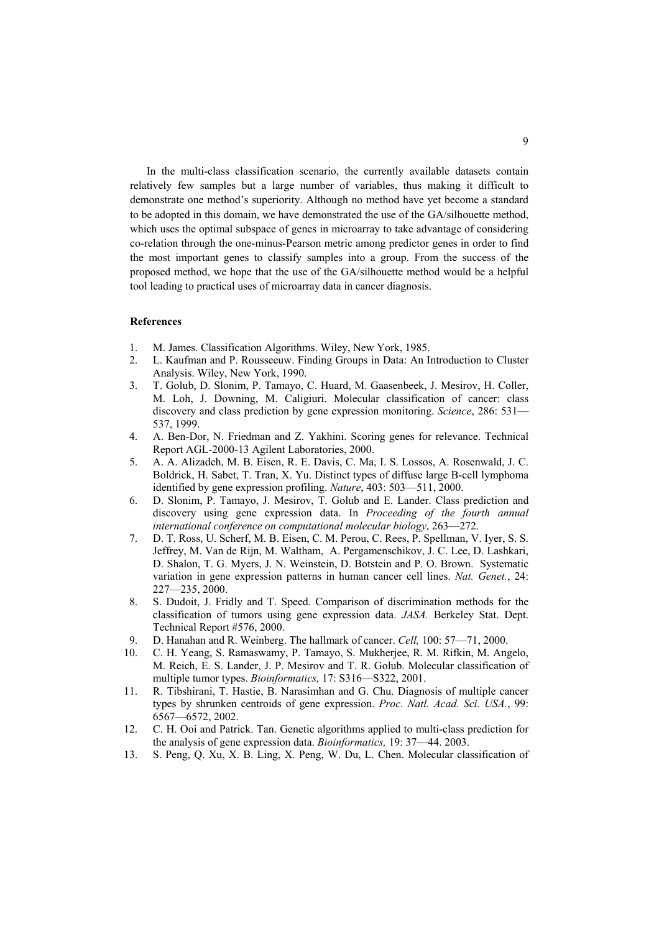In the multi-class classification scenario, the currently available datasets contain relatively few samples but a large number of variables, thus making it difficult to demonstrate one method's superiority. Although no method have yet become a standard to be adopted in this domain, we have demonstrated the use of the GA/silhouette method, which uses the optimal subspace of genes in microarray to take advantage of considering co-relation through the one-minus-Pearson metric among predictor genes in order to find the most important genes to classify samples into a group. From the success of the proposed method, we hope that the use of the GA/silhouette method would be a helpful tool leading to practical uses of microarray data in cancer diagnosis.

## **References**

- 1. M. James. Classification Algorithms. Wiley, New York, 1985.
- 2. L. Kaufman and P. Rousseeuw. Finding Groups in Data: An Introduction to Cluster Analysis. Wiley, New York, 1990.
- 3. T. Golub, D. Slonim, P. Tamayo, C. Huard, M. Gaasenbeek, J. Mesirov, H. Coller, M. Loh, J. Downing, M. Caligiuri. Molecular classification of cancer: class discovery and class prediction by gene expression monitoring. *Science*, 286: 531— 537, 1999.
- 4. A. Ben-Dor, N. Friedman and Z. Yakhini. Scoring genes for relevance. Technical Report AGL-2000-13 Agilent Laboratories, 2000.
- 5. A. A. Alizadeh, M. B. Eisen, R. E. Davis, C. Ma, I. S. Lossos, A. Rosenwald, J. C. Boldrick, H. Sabet, T. Tran, X. Yu. Distinct types of diffuse large B-cell lymphoma identified by gene expression profiling. *Nature*, 403: 503—511, 2000.
- 6. D. Slonim, P. Tamayo, J. Mesirov, T. Golub and E. Lander. Class prediction and discovery using gene expression data. In *Proceeding of the fourth annual international conference on computational molecular biology*, 263—272.
- 7. D. T. Ross, U. Scherf, M. B. Eisen, C. M. Perou, C. Rees, P. Spellman, V. Iyer, S. S. Jeffrey, M. Van de Rijn, M. Waltham, A. Pergamenschikov, J. C. Lee, D. Lashkari, D. Shalon, T. G. Myers, J. N. Weinstein, D. Botstein and P. O. Brown. Systematic variation in gene expression patterns in human cancer cell lines. *Nat. Genet.*, 24: 227—235, 2000.
- 8. S. Dudoit, J. Fridly and T. Speed. Comparison of discrimination methods for the classification of tumors using gene expression data. *JASA.* Berkeley Stat. Dept. Technical Report #576, 2000.
- 9. D. Hanahan and R. Weinberg. The hallmark of cancer. *Cell,* 100: 57—71, 2000.
- 10. C. H. Yeang, S. Ramaswamy, P. Tamayo, S. Mukherjee, R. M. Rifkin, M. Angelo, M. Reich, E. S. Lander, J. P. Mesirov and T. R. Golub. Molecular classification of multiple tumor types. *Bioinformatics,* 17: S316—S322, 2001.
- 11. R. Tibshirani, T. Hastie, B. Narasimhan and G. Chu. Diagnosis of multiple cancer types by shrunken centroids of gene expression. *Proc. Natl. Acad. Sci. USA.*, 99: 6567—6572, 2002.
- 12. C. H. Ooi and Patrick. Tan. Genetic algorithms applied to multi-class prediction for the analysis of gene expression data. *Bioinformatics,* 19: 37—44. 2003.
- 13. S. Peng, Q. Xu, X. B. Ling, X. Peng, W. Du, L. Chen. Molecular classification of